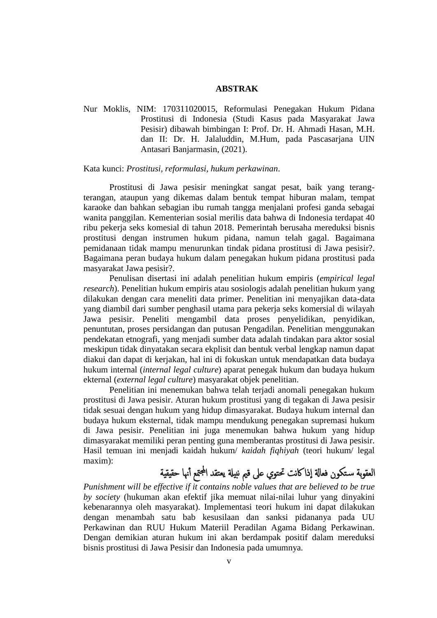#### **ABSTRAK**

Nur Moklis, NIM: 170311020015, Reformulasi Penegakan Hukum Pidana Prostitusi di Indonesia (Studi Kasus pada Masyarakat Jawa Pesisir) dibawah bimbingan I: Prof. Dr. H. Ahmadi Hasan, M.H. dan II: Dr. H. Jalaluddin, M.Hum, pada Pascasarjana UIN Antasari Banjarmasin, (2021).

Kata kunci: *Prostitusi, reformulasi, hukum perkawinan*.

Prostitusi di Jawa pesisir meningkat sangat pesat, baik yang terangterangan, ataupun yang dikemas dalam bentuk tempat hiburan malam, tempat karaoke dan bahkan sebagian ibu rumah tangga menjalani profesi ganda sebagai wanita panggilan. Kementerian sosial merilis data bahwa di Indonesia terdapat 40 ribu pekerja seks komesial di tahun 2018. Pemerintah berusaha mereduksi bisnis prostitusi dengan instrumen hukum pidana, namun telah gagal. Bagaimana pemidanaan tidak mampu menurunkan tindak pidana prostitusi di Jawa pesisir?. Bagaimana peran budaya hukum dalam penegakan hukum pidana prostitusi pada masyarakat Jawa pesisir?.

Penulisan disertasi ini adalah penelitian hukum empiris (*empirical legal research*). Penelitian hukum empiris atau sosiologis adalah penelitian hukum yang dilakukan dengan cara meneliti data primer. Penelitian ini menyajikan data-data yang diambil dari sumber penghasil utama para pekerja seks komersial di wilayah Jawa pesisir. Peneliti mengambil data proses penyelidikan, penyidikan, penuntutan, proses persidangan dan putusan Pengadilan. Penelitian menggunakan pendekatan etnografi, yang menjadi sumber data adalah tindakan para aktor sosial meskipun tidak dinyatakan secara ekplisit dan bentuk verbal lengkap namun dapat diakui dan dapat di kerjakan, hal ini di fokuskan untuk mendapatkan data budaya hukum internal (*internal legal culture*) aparat penegak hukum dan budaya hukum ekternal (*external legal culture*) masyarakat objek penelitian.

Penelitian ini menemukan bahwa telah terjadi anomali penegakan hukum prostitusi di Jawa pesisir. Aturan hukum prostitusi yang di tegakan di Jawa pesisir tidak sesuai dengan hukum yang hidup dimasyarakat. Budaya hukum internal dan budaya hukum eksternal, tidak mampu mendukung penegakan supremasi hukum di Jawa pesisir. Penelitian ini juga menemukan bahwa hukum yang hidup dimasyarakat memiliki peran penting guna memberantas prostitusi di Jawa pesisir. Hasil temuan ini menjadi kaidah hukum/ *kaidah fiqhiyah* (teori hukum/ legal maxim):

## العقوبة سـتكون فعالة إذاكانت تحتوي على قيم نبيلة يعتقد المجتمع أنها حقيقية

*Punishment will be effective if it contains noble values that are believed to be true by society* (hukuman akan efektif jika memuat nilai-nilai luhur yang dinyakini kebenarannya oleh masyarakat). Implementasi teori hukum ini dapat dilakukan dengan menambah satu bab kesusilaan dan sanksi pidananya pada UU Perkawinan dan RUU Hukum Materiil Peradilan Agama Bidang Perkawinan. Dengan demikian aturan hukum ini akan berdampak positif dalam mereduksi bisnis prostitusi di Jawa Pesisir dan Indonesia pada umumnya.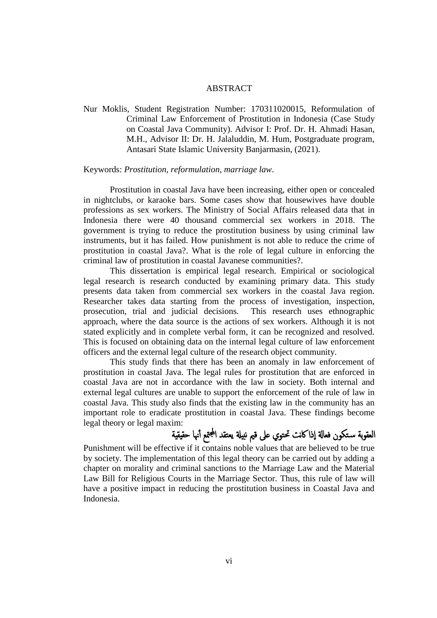#### ABSTRACT

Nur Moklis, Student Registration Number: 170311020015, Reformulation of Criminal Law Enforcement of Prostitution in Indonesia (Case Study on Coastal Java Community). Advisor I: Prof. Dr. H. Ahmadi Hasan, M.H., Advisor II: Dr. H. Jalaluddin, M. Hum, Postgraduate program, Antasari State Islamic University Banjarmasin, (2021).

#### Keywords: *Prostitution, reformulation, marriage law*.

Prostitution in coastal Java have been increasing, either open or concealed in nightclubs, or karaoke bars. Some cases show that housewives have double professions as sex workers. The Ministry of Social Affairs released data that in Indonesia there were 40 thousand commercial sex workers in 2018. The government is trying to reduce the prostitution business by using criminal law instruments, but it has failed. How punishment is not able to reduce the crime of prostitution in coastal Java?. What is the role of legal culture in enforcing the criminal law of prostitution in coastal Javanese communities?.

This dissertation is empirical legal research. Empirical or sociological legal research is research conducted by examining primary data. This study presents data taken from commercial sex workers in the coastal Java region. Researcher takes data starting from the process of investigation, inspection, prosecution, trial and judicial decisions. This research uses ethnographic approach, where the data source is the actions of sex workers. Although it is not stated explicitly and in complete verbal form, it can be recognized and resolved. This is focused on obtaining data on the internal legal culture of law enforcement officers and the external legal culture of the research object community.

This study finds that there has been an anomaly in law enforcement of prostitution in coastal Java. The legal rules for prostitution that are enforced in coastal Java are not in accordance with the law in society. Both internal and external legal cultures are unable to support the enforcement of the rule of law in coastal Java. This study also finds that the existing law in the community has an important role to eradicate prostitution in coastal Java. These findings become legal theory or legal maxim:

# العقوبة ستكون فعالة إذاكانت تحتوي على قيم نبيلة يعتقد المجتمع أنها حقيقية

Punishment will be effective if it contains noble values that are believed to be true by society. The implementation of this legal theory can be carried out by adding a chapter on morality and criminal sanctions to the Marriage Law and the Material Law Bill for Religious Courts in the Marriage Sector. Thus, this rule of law will have a positive impact in reducing the prostitution business in Coastal Java and Indonesia.